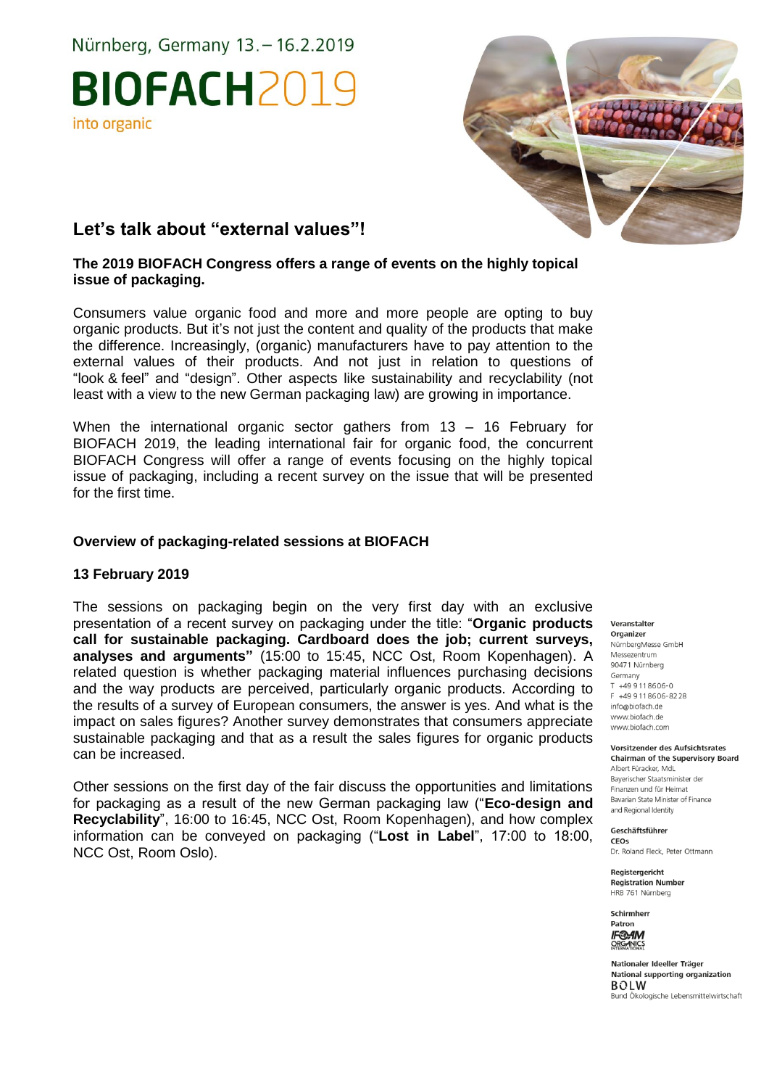Nürnberg, Germany 13. - 16.2.2019

# BIOFACH2019 into organic



### **Let's talk about "external values"!**

#### **The 2019 BIOFACH Congress offers a range of events on the highly topical issue of packaging.**

Consumers value organic food and more and more people are opting to buy organic products. But it's not just the content and quality of the products that make the difference. Increasingly, (organic) manufacturers have to pay attention to the external values of their products. And not just in relation to questions of "look & feel" and "design". Other aspects like sustainability and recyclability (not least with a view to the new German packaging law) are growing in importance.

When the international organic sector gathers from 13 – 16 February for BIOFACH 2019, the leading international fair for organic food, the concurrent BIOFACH Congress will offer a range of events focusing on the highly topical issue of packaging, including a recent survey on the issue that will be presented for the first time.

#### **Overview of packaging-related sessions at BIOFACH**

#### **13 February 2019**

The sessions on packaging begin on the very first day with an exclusive presentation of a recent survey on packaging under the title: "**Organic products call for sustainable packaging. Cardboard does the job; current surveys, analyses and arguments"** (15:00 to 15:45, NCC Ost, Room Kopenhagen). A related question is whether packaging material influences purchasing decisions and the way products are perceived, particularly organic products. According to the results of a survey of European consumers, the answer is yes. And what is the impact on sales figures? Another survey demonstrates that consumers appreciate sustainable packaging and that as a result the sales figures for organic products can be increased.

Other sessions on the first day of the fair discuss the opportunities and limitations for packaging as a result of the new German packaging law ("**Eco-design and Recyclability**", 16:00 to 16:45, NCC Ost, Room Kopenhagen), and how complex information can be conveyed on packaging ("**Lost in Label**", 17:00 to 18:00, NCC Ost, Room Oslo).

Organizer NürnbergMesse GmbH Messezentrum 90471 Nürnberg Germany  $T + 499118606 - 0$ E +49 9 11 8606-8228 info@biofach.de www.biofach.de www.biofach.com

Veranstalter

Vorsitzender des Aufsichtsrates **Chairman of the Supervisory Board** Albert Füracker, MdL Baverischer Staatsminister de Finanzen und für Heimat Bavarian State Minister of Finance and Regional Identity

Geschäftsführer CEOs

Dr. Roland Fleck, Peter Ottmann

Reaisteraericht **Registration Number** HRB 761 Nürnberg



Nationaler Ideeller Träger National supporting organization **BOLW** Bund Ökologische Lebensmittelwirtschaft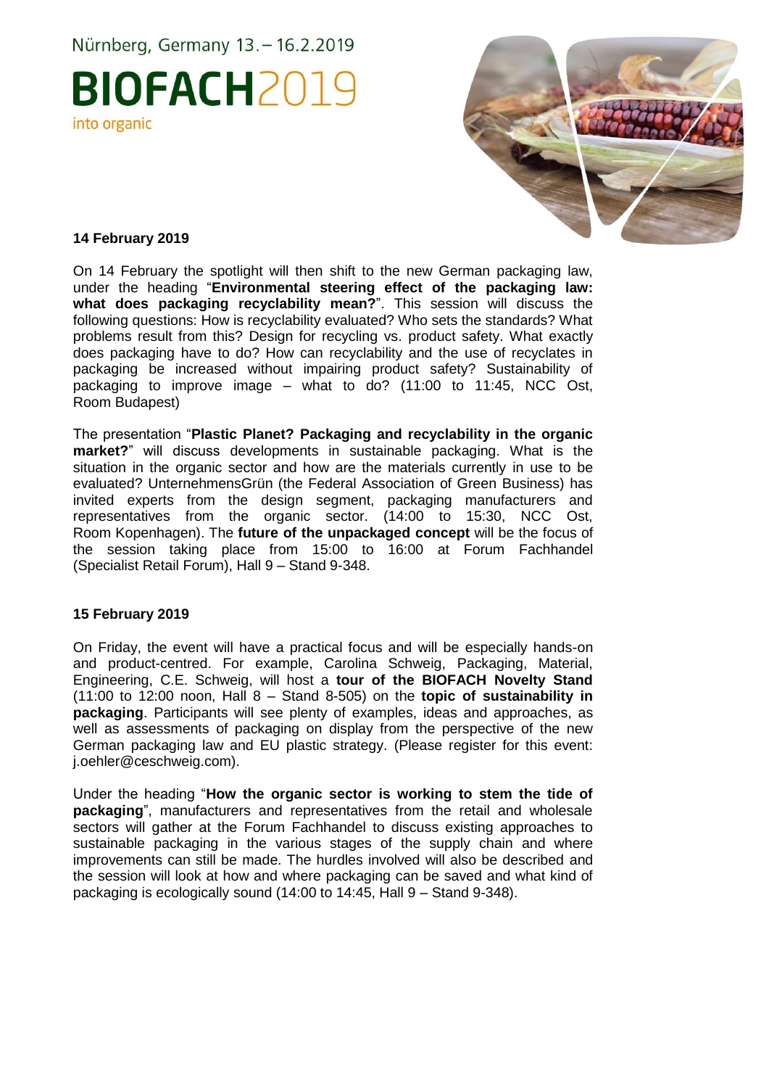Nürnberg, Germany 13. - 16.2.2019

## **BIOFACH2019** into organic



#### **14 February 2019**

On 14 February the spotlight will then shift to the new German packaging law, under the heading "**Environmental steering effect of the packaging law: what does packaging recyclability mean?**". This session will discuss the following questions: How is recyclability evaluated? Who sets the standards? What problems result from this? Design for recycling vs. product safety. What exactly does packaging have to do? How can recyclability and the use of recyclates in packaging be increased without impairing product safety? Sustainability of packaging to improve image – what to do? (11:00 to 11:45, NCC Ost, Room Budapest)

The presentation "**Plastic Planet? Packaging and recyclability in the organic market?**" will discuss developments in sustainable packaging. What is the situation in the organic sector and how are the materials currently in use to be evaluated? UnternehmensGrün (the Federal Association of Green Business) has invited experts from the design segment, packaging manufacturers and representatives from the organic sector. (14:00 to 15:30, NCC Ost, Room Kopenhagen). The **future of the unpackaged concept** will be the focus of the session taking place from 15:00 to 16:00 at Forum Fachhandel (Specialist Retail Forum), Hall 9 – Stand 9-348.

#### **15 February 2019**

On Friday, the event will have a practical focus and will be especially hands-on and product-centred. For example, Carolina Schweig, Packaging, Material, Engineering, C.E. Schweig, will host a **tour of the BIOFACH Novelty Stand** (11:00 to 12:00 noon, Hall 8 – Stand 8-505) on the **topic of sustainability in packaging**. Participants will see plenty of examples, ideas and approaches, as well as assessments of packaging on display from the perspective of the new German packaging law and EU plastic strategy. (Please register for this event: j.oehler@ceschweig.com).

Under the heading "**How the organic sector is working to stem the tide of packaging**", manufacturers and representatives from the retail and wholesale sectors will gather at the Forum Fachhandel to discuss existing approaches to sustainable packaging in the various stages of the supply chain and where improvements can still be made. The hurdles involved will also be described and the session will look at how and where packaging can be saved and what kind of packaging is ecologically sound (14:00 to 14:45, Hall 9 – Stand 9-348).